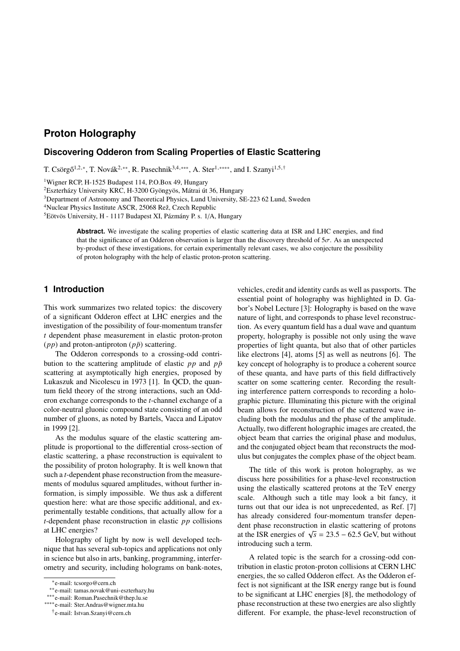# **Proton Holography**

## **Discovering Odderon from Scaling Properties of Elastic Scattering**

T. Csörgő<sup>1,2,∗</sup>, T. Novák<sup>2,∗∗</sup>, R. Pasechnik<sup>3,4,∗</sup>\*\*, A. Ster<sup>1,</sup> \*\*\*\*, and I. Szanyi<sup>1,5,†</sup>

<sup>1</sup>Wigner RCP, H-1525 Budapest 114, P.O.Box 49, Hungary

<sup>2</sup>Eszterházy University KRC, H-3200 Gyöngyös, Mátrai út 36, Hungary

<sup>3</sup>Department of Astronomy and Theoretical Physics, Lund University, SE-223 62 Lund, Sweden

<sup>4</sup>Nuclear Physics Institute ASCR, 25068 Rež, Czech Republic

<sup>5</sup>Eötvös University, H - 1117 Budapest XI, Pázmány P. s. 1/A, Hungary

**Abstract.** We investigate the scaling properties of elastic scattering data at ISR and LHC energies, and find that the significance of an Odderon observation is larger than the discovery threshold of  $5\sigma$ . As an unexpected by-product of these investigations, for certain experimentally relevant cases, we also conjecture the possibility of proton holography with the help of elastic proton-proton scattering.

# **1 Introduction**

This work summarizes two related topics: the discovery of a significant Odderon effect at LHC energies and the investigation of the possibility of four-momentum transfer *t* dependent phase measurement in elastic proton-proton  $(pp)$  and proton-antiproton  $(p\bar{p})$  scattering.

The Odderon corresponds to a crossing-odd contribution to the scattering amplitude of elastic  $pp$  and  $p\bar{p}$ scattering at asymptotically high energies, proposed by Lukaszuk and Nicolescu in 1973 [1]. In QCD, the quantum field theory of the strong interactions, such an Odderon exchange corresponds to the *t*-channel exchange of a color-neutral gluonic compound state consisting of an odd number of gluons, as noted by Bartels, Vacca and Lipatov in 1999 [2].

As the modulus square of the elastic scattering amplitude is proportional to the differential cross-section of elastic scattering, a phase reconstruction is equivalent to the possibility of proton holography. It is well known that such a *t*-dependent phase reconstruction from the measurements of modulus squared amplitudes, without further information, is simply impossible. We thus ask a different question here: what are those specific additional, and experimentally testable conditions, that actually allow for a *t*-dependent phase reconstruction in elastic *pp* collisions at LHC energies?

Holography of light by now is well developed technique that has several sub-topics and applications not only in science but also in arts, banking, programming, interferometry and security, including holograms on bank-notes, vehicles, credit and identity cards as well as passports. The essential point of holography was highlighted in D. Gabor's Nobel Lecture [3]: Holography is based on the wave nature of light, and corresponds to phase level reconstruction. As every quantum field has a dual wave and quantum property, holography is possible not only using the wave properties of light quanta, but also that of other particles like electrons [4], atoms [5] as well as neutrons [6]. The key concept of holography is to produce a coherent source of these quanta, and have parts of this field diffractively scatter on some scattering center. Recording the resulting interference pattern corresponds to recording a holographic picture. Illuminating this picture with the original beam allows for reconstruction of the scattered wave including both the modulus and the phase of the amplitude. Actually, two different holographic images are created, the object beam that carries the original phase and modulus, and the conjugated object beam that reconstructs the modulus but conjugates the complex phase of the object beam.

The title of this work is proton holography, as we discuss here possibilities for a phase-level reconstruction using the elastically scattered protons at the TeV energy scale. Although such a title may look a bit fancy, it turns out that our idea is not unprecedented, as Ref. [7] has already considered four-momentum transfer dependent phase reconstruction in elastic scattering of protons at the ISR energies of  $\sqrt{s} = 23.5 - 62.5$  GeV, but without introducing such a term introducing such a term.

A related topic is the search for a crossing-odd contribution in elastic proton-proton collisions at CERN LHC energies, the so called Odderon effect. As the Odderon effect is not significant at the ISR energy range but is found to be significant at LHC energies [8], the methodology of phase reconstruction at these two energies are also slightly different. For example, the phase-level reconstruction of

<sup>∗</sup> e-mail: tcsorgo@cern.ch

<sup>∗∗</sup>e-mail: tamas.novak@uni-eszterhazy.hu

<sup>∗∗∗</sup>e-mail: Roman.Pasechnik@thep.lu.se

<sup>∗∗∗∗</sup>e-mail: Ster.Andras@wigner.mta.hu

<sup>†</sup> e-mail: Istvan.Szanyi@cern.ch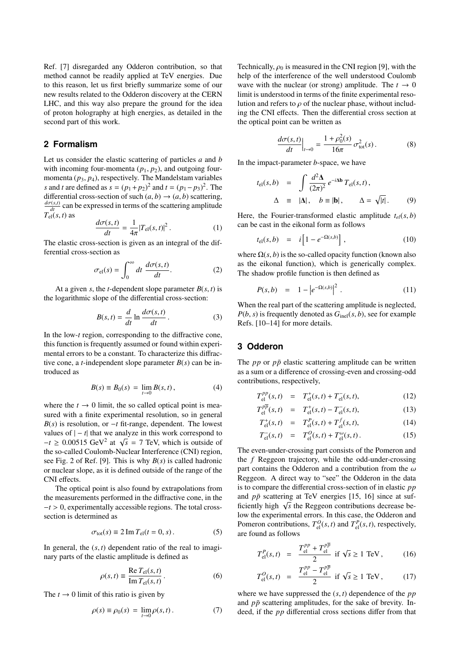Ref. [7] disregarded any Odderon contribution, so that method cannot be readily applied at TeV energies. Due to this reason, let us first briefly summarize some of our new results related to the Odderon discovery at the CERN LHC, and this way also prepare the ground for the idea of proton holography at high energies, as detailed in the second part of this work.

# **2 Formalism**

Let us consider the elastic scattering of particles *a* and *b* with incoming four-momenta  $(p_1, p_2)$ , and outgoing fourmomenta  $(p_3, p_4)$ , respectively. The Mandelstam variables *s* and *t* are defined as  $s = (p_1 + p_2)^2$  and  $t = (p_1 - p_3)^2$ . The differential cross-section of such  $(a, b) \rightarrow (a, b)$  scattering,  $\frac{d\sigma(s,t)}{dt}$  can be expressed in terms of the scattering amplitude  $T_{\text{el}}(s, t)$  as

$$
\frac{d\sigma(s,t)}{dt} = \frac{1}{4\pi} |T_{\text{el}}(s,t)|^2.
$$
 (1)

 $dt = 4\pi^{12}$  er(e, e, e, e) ferential cross-section as

$$
\sigma_{\rm el}(s) = \int_0^\infty dt \, \frac{d\sigma(s, t)}{dt}.\tag{2}
$$

At a given *s*, the *t*-dependent slope parameter  $B(s, t)$  is the logarithmic slope of the differential cross-section:

$$
B(s,t) = \frac{d}{dt} \ln \frac{d\sigma(s,t)}{dt}.
$$
 (3)

In the low-*t* region, corresponding to the diffractive cone, this function is frequently assumed or found within experimental errors to be a constant. To characterize this diffractive cone, a *t*-independent slope parameter *B*(*s*) can be introduced as

$$
B(s) \equiv B_0(s) = \lim_{t \to 0} B(s, t), \tag{4}
$$

where the  $t \to 0$  limit, the so called optical point is measured with a finite experimental resolution, so in general *B*(*s*) is resolution, or −*t* fit-range, dependent. The lowest values of  $|-t|$  that we analyze in this work correspond to values of  $|-t|$  that we analyze in this work correspond to  $-t \ge 0.00515 \text{ GeV}^2$  at  $\sqrt{s} = 7 \text{ TeV}$ , which is outside of the so-called Coulomb-Nuclear Interference (CNI) region the so-called Coulomb-Nuclear Interference (CNI) region, see Fig. 2 of Ref. [9]. This is why *B*(*s*) is called hadronic or nuclear slope, as it is defined outside of the range of the CNI effects.

The optical point is also found by extrapolations from the measurements performed in the diffractive cone, in the <sup>−</sup>*<sup>t</sup>* > 0, experimentally accessible regions. The total crosssection is determined as

$$
\sigma_{\text{tot}}(s) \equiv 2 \operatorname{Im} T_{\text{el}}(t = 0, s) \,. \tag{5}
$$

In general, the  $(s, t)$  dependent ratio of the real to imaginary parts of the elastic amplitude is defined as

$$
\rho(s,t) \equiv \frac{\text{Re } T_{\text{el}}(s,t)}{\text{Im } T_{\text{el}}(s,t)}.
$$
\n(6)

The  $t \to 0$  limit of this ratio is given by

$$
\rho(s) \equiv \rho_0(s) = \lim_{t \to 0} \rho(s, t).
$$
 (7)

Technically,  $\rho_0$  is measured in the CNI region [9], with the help of the interference of the well understood Coulomb wave with the nuclear (or strong) amplitude. The  $t \to 0$ limit is understood in terms of the finite experimental resolution and refers to  $\rho$  of the nuclear phase, without including the CNI effects. Then the differential cross section at the optical point can be written as

$$
\left. \frac{d\sigma(s,t)}{dt} \right|_{t \to 0} = \frac{1 + \rho_0^2(s)}{16\pi} \sigma_{\text{tot}}^2(s) \,. \tag{8}
$$

In the impact-parameter *b*-space, we have

$$
t_{\rm el}(s,b) = \int \frac{d^2 \Delta}{(2\pi)^2} e^{-i\Delta b} T_{\rm el}(s,t),
$$
  

$$
\Delta \equiv |\Delta|, \quad b \equiv |\mathbf{b}|, \qquad \Delta = \sqrt{|t|}. \tag{9}
$$

Here, the Fourier-transformed elastic amplitude  $t_{el}(s, b)$ can be cast in the eikonal form as follows

$$
t_{\rm el}(s,b) = i \left[ 1 - e^{-\Omega(s,b)} \right], \tag{10}
$$

where  $\Omega(s, b)$  is the so-called opacity function (known also as the eikonal function), which is generically complex. The shadow profile function is then defined as

$$
P(s,b) = 1 - |e^{-\Omega(s,b)}|^2.
$$
 (11)

When the real part of the scattering amplitude is neglected,  $P(b, s)$  is frequently denoted as  $G_{\text{inel}}(s, b)$ , see for example Refs. [10–14] for more details.

### **3 Odderon**

The *pp* or *pp* elastic scattering amplitude can be written as a sum or a difference of crossing-even and crossing-odd contributions, respectively,

$$
T_{\text{el}}^{pp}(s,t) = T_{\text{el}}^{+}(s,t) + T_{\text{el}}^{-}(s,t),
$$
 (12)

$$
T_{\text{el}}^{p\overline{p}}(s,t) = T_{\text{el}}^{+}(s,t) - T_{\text{el}}^{-}(s,t),
$$
 (13)

$$
T_{\text{el}}^{+}(s,t) = T_{\text{el}}^{P}(s,t) + T_{\text{el}}^{f}(s,t),
$$
\n(14)

$$
T_{\rm el}^-(s,t) = T_{\rm el}^O(s,t) + T_{\rm el}^O(s,t). \tag{15}
$$

The even-under-crossing part consists of the Pomeron and the *f* Reggeon trajectory, while the odd-under-crossing part contains the Odderon and a contribution from the  $\omega$ Reggeon. A direct way to "see" the Odderon in the data is to compare the differential cross-section of in elastic *pp* and  $p\bar{p}$  scattering at TeV energies [15, 16] since at sufand *pp* scattering at lev energies [15, 10] since at sufficiently high  $\sqrt{s}$  the Reggeon contributions decrease below the experimental errors. In this case, the Odderon and Pomeron contributions,  $T_{el}^{O}(s, t)$  and  $T_{el}^{P}(s, t)$ , respectively, are found as follows are found as follows

$$
T_{\text{el}}^{P}(s,t) = \frac{T_{\text{el}}^{pp} + T_{\text{el}}^{p\overline{p}}}{2} \text{ if } \sqrt{s} \ge 1 \text{ TeV}, \quad (16)
$$

$$
T_{\text{el}}^{O}(s,t) = \frac{T_{\text{el}}^{pp} - T_{\text{el}}^{p\bar{p}}}{2} \text{ if } \sqrt{s} \ge 1 \text{ TeV}, \quad (17)
$$

where we have suppressed the (*s*, *<sup>t</sup>*) dependence of the *pp* and  $p\bar{p}$  scattering amplitudes, for the sake of brevity. Indeed, if the *pp* differential cross sections differ from that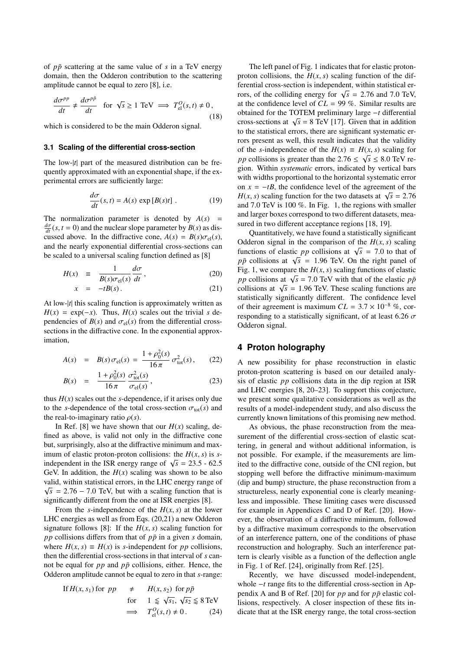of *pp*¯ scattering at the same value of *s* in a TeV energy domain, then the Odderon contribution to the scattering amplitude cannot be equal to zero [8], i.e.

$$
\frac{d\sigma^{pp}}{dt} \neq \frac{d\sigma^{p\bar{p}}}{dt} \quad \text{for } \sqrt{s} \ge 1 \text{ TeV} \implies T_{\text{el}}^0(s, t) \neq 0,
$$
\n(18)

which is considered to be the main Odderon signal.

#### **3.1 Scaling of the differential cross-section**

The low-|*t*| part of the measured distribution can be frequently approximated with an exponential shape, if the experimental errors are sufficiently large:

$$
\frac{d\sigma}{dt}(s,t) = A(s) \exp[B(s)t] \ . \tag{19}
$$

The normalization parameter is denoted by  $A(s)$  =  $\frac{d\sigma}{dt}(s, t = 0)$  and the nuclear slope parameter by *B*(*s*) as dis-<br>cussed above. In the diffractive cone,  $A(s) = B(s)\sigma_1(s)$ cussed above. In the diffractive cone,  $A(s) = B(s)\sigma_{el}(s)$ , and the nearly exponential differential cross-sections can be scaled to a universal scaling function defined as [8]

$$
H(x) \equiv \frac{1}{B(s)\sigma_{\text{el}}(s)}\frac{d\sigma}{dt},\tag{20}
$$
\n
$$
x = -tB(s)
$$
\n
$$
(21)
$$

$$
x = -tB(s). \tag{21}
$$

At low-|*t*| this scaling function is approximately written as  $H(x) = \exp(-x)$ . Thus,  $H(x)$  scales out the trivial *s* dependencies of  $B(s)$  and  $\sigma_{el}(s)$  from the differential crosssections in the diffractive cone. In the exponential approximation,

$$
A(s) = B(s)\sigma_{el}(s) = \frac{1+\rho_0^2(s)}{16\pi}\sigma_{tot}^2(s), \qquad (22)
$$

$$
B(s) = \frac{1 + \rho_0^2(s)}{16\pi} \frac{\sigma_{\text{tot}}^2(s)}{\sigma_{\text{el}}(s)},
$$
\n(23)

thus  $H(x)$  scales out the *s*-dependence, if it arises only due to the *s*-dependence of the total cross-section  $\sigma_{\text{tot}}(s)$  and the real-to-imaginary ratio  $\rho(s)$ .

In Ref. [8] we have shown that our  $H(x)$  scaling, defined as above, is valid not only in the diffractive cone but, surprisingly, also at the diffractive minimum and maximum of elastic proton-proton collisions: the  $H(x, s)$  is *s*independent in the ISR energy range of  $\sqrt{s} = 23.5 - 62.5$ <br>GeV In addition, the  $H(x)$  scaling was shown to be also GeV. In addition, the  $H(x)$  scaling was shown to be also valid, within statistical errors, in the LHC energy range of  $\sqrt{2}$  $\sqrt{s}$  = 2.76 – 7.0 TeV, but with a scaling function that is significantly different from the one at ISR energies [8].

From the *s*-independence of the  $H(x, s)$  at the lower LHC energies as well as from Eqs. (20,21) a new Odderon signature follows [8]: If the  $H(x, s)$  scaling function for *pp* collisions differs from that of  $p\bar{p}$  in a given *s* domain, where  $H(x, s) \equiv H(x)$  is *s*-independent for *pp* collisions, then the differential cross-sections in that interval of *s* cannot be equal for  $pp$  and  $p\bar{p}$  collisions, either. Hence, the Odderon amplitude cannot be equal to zero in that *s*-range:

If 
$$
H(x, s_1)
$$
 for  $pp \neq H(x, s_2)$  for  $p\bar{p}$   
for  $1 \leq \sqrt{s_1}$ ,  $\sqrt{s_2} \leq 8 \text{ TeV}$   
 $\implies T_{\text{el}}^O(s, t) \neq 0.$  (24)

The left panel of Fig. 1 indicates that for elastic protonproton collisions, the  $H(x, s)$  scaling function of the differential cross-section is independent, within statistical erreferred cross-section is independent, whilm statistical ef-<br>rors, of the colliding energy for  $\sqrt{s} = 2.76$  and 7.0 TeV,<br>at the confidence level of  $CI = 99\%$ . Similar results are at the confidence level of *CL* = 99 %. Similar results are obtained for the TOTEM preliminary large −*t* differential cross-sections at  $\sqrt{s}$  = 8 TeV [17]. Given that in addition to the statistical errors, there are significant systematic errors present as well, this result indicates that the validity of the *s*-independence of the *H*(*x*) ≡ *H*(*x*, *s*) scaling for *nn* collisions is greater than the 2.76 ≤  $\sqrt{s}$  ≤ 8.0 TeV re*pp* collisions is greater than the  $2.76 \le \sqrt{s} \le 8.0$  TeV region. Within systematic errors, indicated by vertical bars gion. Within *systematic* errors, indicated by vertical bars with widths proportional to the horizontal systematic error on  $x = -tB$ , the confidence level of the agreement of the *H*(*x*, *s*) scaling function for the two datasets at  $\sqrt{s} = 2.76$ <br>and 7.0 TeV is 100 %. In Fig. 1, the regions with smaller and 7.0 TeV is 100 %. In Fig. 1, the regions with smaller and larger boxes correspond to two different datasets, measured in two different acceptance regions [18, 19].

Quantitatively, we have found a statistically significant Odderon signal in the comparison of the  $H(x, s)$  scaling functions of elastic *pp* collisions at  $\sqrt{s} = 7.0$  to that of  $p\bar{p}$  collisions at  $\sqrt{s} = 1.96$  TeV. On the right panel of *pp* collisions at  $\sqrt{s} = 1.96$  TeV. On the right panel of  $p\bar{p}$  collisions at  $\sqrt{s} = 1.96$  TeV. On the right panel of  $\overline{p}$ Fig. 1, we compare the  $H(x, s)$  scaling functions of elastic *pp* collisions at  $\sqrt{s}$  = 7.0 TeV with that of the elastic *pp*<br>*collisions* at  $\sqrt{s}$  = 1.96 TeV. These scaling functions are *pp* consions at  $\sqrt{s}$  = 1.0 TeV with that of the easile *pp*<br>collisions at  $\sqrt{s}$  = 1.96 TeV. These scaling functions are statistically significantly different. The confidence level of their agreement is maximum  $CL = 3.7 \times 10^{-8}$  %, corresponding to a statistically significant, of at least 6.26  $\sigma$ Odderon signal.

## **4 Proton holography**

A new possibility for phase reconstruction in elastic proton-proton scattering is based on our detailed analysis of elastic *pp* collisions data in the dip region at ISR and LHC energies [8, 20–23]. To support this conjecture, we present some qualitative considerations as well as the results of a model-independent study, and also discuss the currently known limitations of this promising new method.

As obvious, the phase reconstruction from the measurement of the differential cross-section of elastic scattering, in general and without additional information, is not possible. For example, if the measurements are limited to the diffractive cone, outside of the CNI region, but stopping well before the diffractive minimum-maximum (dip and bump) structure, the phase reconstruction from a structureless, nearly exponential cone is clearly meaningless and impossible. These limiting cases were discussed for example in Appendices C and D of Ref. [20]. However, the observation of a diffractive minimum, followed by a diffractive maximum corresponds to the observation of an interference pattern, one of the conditions of phase reconstruction and holography. Such an interference pattern is clearly visible as a function of the deflection angle in Fig. 1 of Ref. [24], originally from Ref. [25].

Recently, we have discussed model-independent, whole −*t* range fits to the differential cross-section in Appendix A and B of Ref. [20] for  $pp$  and for  $p\bar{p}$  elastic collisions, respectively. A closer inspection of these fits indicate that at the ISR energy range, the total cross-section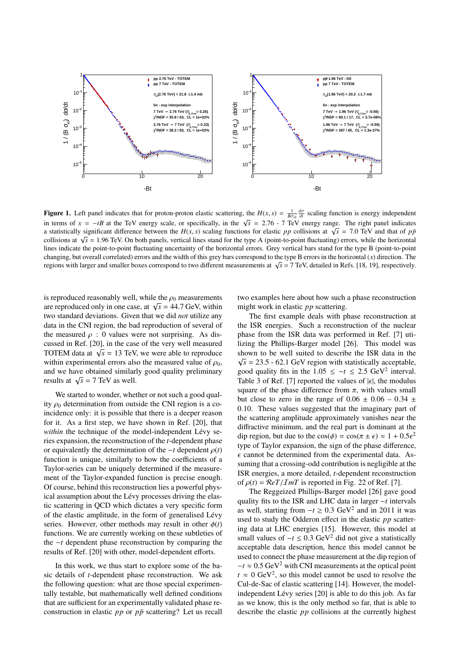

**Figure 1.** Left panel indicates that for proton-proton elastic scattering, the  $H(x, s) = \frac{1}{B\sigma d} \frac{d\sigma}{dx}$  scaling function is energy independent in terms of  $x = -tB$  at the TeV energy scale, or specifically, in the  $\sqrt{s} = 2.76 - 7$  TeV energy range. The right panel indicates a statistically significant difference between the  $H(x, s)$  scaling functions for elastic an a statistically significant difference between the *H*(*x*, *s*) scaling functions for elastic *pp* collisions at  $\sqrt{s} = 7.0$  TeV and that of *pp* collisions at  $\sqrt{s} = 1.06$  TeV and that of *pp* collisions at  $\sqrt{s} = 1.06$ collisions at  $\sqrt{s}$  = 1.96 TeV. On both panels, vertical lines stand for the type A (point-to-point fluctuating) errors, while the horizontal lines indicate the point-to-point fluctuating uncertainty of the horizontal er lines indicate the point-to-point fluctuating uncertainty of the horizontal errors. Grey vertical bars stand for the type B (point-to-point changing, but overall correlated) errors and the width of this grey bars correspond to the type B errors in the horizontal (*x*) direction. The regions with larger and smaller boxes correspond to two different measurements at <sup>√</sup> *s* = 7 TeV, detailed in Refs. [18, 19], respectively.

is reproduced reasonably well, while the  $\rho_0$  measurements are reproduced reasonably went, while the  $p_0$  ineasurements<br>are reproduced only in one case, at  $\sqrt{s} = 44.7$  GeV, within two standard deviations. Given that we did *not* utilize any data in the CNI region, the bad reproduction of several of the measured  $\rho$  : 0 values were not surprising. As discussed in Ref. [20], in the case of the very well measured Cussed in Rei. [20], in the case of the very well measured<br>TOTEM data at  $\sqrt{s} = 13$  TeV, we were able to reproduce within experimental errors also the measured value of  $\rho_0$ , and we have obtained similarly good quality preliminary and we have obtained similar.<br>results at  $\sqrt{s} = 7$  TeV as well.

We started to wonder, whether or not such a good quality  $\rho_0$  determination from outside the CNI region is a coincidence only: it is possible that there is a deeper reason for it. As a first step, we have shown in Ref. [20], that *within* the technique of the model-independent Lévy series expansion, the reconstruction of the *t*-dependent phase or equivalently the determination of the  $-t$  dependent  $\rho(t)$ function is unique, similarly to how the coefficients of a Taylor-series can be uniquely determined if the measurement of the Taylor-expanded function is precise enough. Of course, behind this reconstruction lies a powerful physical assumption about the Lévy processes driving the elastic scattering in QCD which dictates a very specific form of the elastic amplitude, in the form of generalised Lévy series. However, other methods may result in other  $\phi(t)$ functions. We are currently working on these subtleties of the −*t* dependent phase reconstruction by comparing the results of Ref. [20] with other, model-dependent efforts.

In this work, we thus start to explore some of the basic details of *t*-dependent phase reconstruction. We ask the following question: what are those special experimentally testable, but mathematically well defined conditions that are sufficient for an experimentally validated phase reconstruction in elastic  $pp$  or  $p\bar{p}$  scattering? Let us recall two examples here about how such a phase reconstruction might work in elastic *pp* scattering.

The first example deals with phase reconstruction at the ISR energies. Such a reconstruction of the nuclear phase from the ISR data was performed in Ref. [7] utilizing the Phillips-Barger model [26]. This model was shown to be well suited to describe the ISR data in the  $\sqrt{7}$  $\sqrt{s}$  = 23.5 - 62.1 GeV region with statistically acceptable, good quality fits in the  $1.05 \le -t \le 2.5 \text{ GeV}^2$  interval.<br>Table 3 of Ref. [7] reported the values of let the modulus Table 3 of Ref. [7] reported the values of  $|\epsilon|$ , the modulus square of the phase difference from  $\pi$ , with values small but close to zero in the range of  $0.06 \pm 0.06 - 0.34 \pm 0.06$ 0.10. These values suggested that the imaginary part of the scattering amplitude approximately vanishes near the diffractive minimum, and the real part is dominant at the dip region, but due to the  $\cos(\phi) = \cos(\pi \pm \epsilon) \approx 1 + 0.5\epsilon^2$ <br>type of Taylor expansion, the sign of the phase difference type of Taylor expansion, the sign of the phase difference,  $\epsilon$  cannot be determined from the experimental data. Assuming that a crossing-odd contribution is negligible at the ISR energies, a more detailed, *t*-dependent reconstruction of  $\rho(t) = \mathcal{R}eT/\mathcal{I}mT$  is reported in Fig. 22 of Ref. [7].

The Reggeized Phillips-Barger model [26] gave good quality fits to the ISR and LHC data in larger −*t* intervals as well, starting from  $-t$  ≥ 0.3 GeV<sup>2</sup> and in 2011 it was used to study the Odderon effect in the elastic *pp* scattering data at LHC energies [15]. However, this model at small values of  $-t \leq 0.3$  GeV<sup>2</sup> did not give a statistically acceptable data description, hence this model cannot be used to connect the phase measurement at the dip region of  $-t \approx 0.5$  GeV<sup>2</sup> with CNI measurements at the optical point  $t \approx 0$  GeV<sup>2</sup>, so this model cannot be used to resolve the Cul-de-Sac of elastic scattering [14]. However, the modelindependent Lévy series [20] is able to do this job. As far as we know, this is the only method so far, that is able to describe the elastic *pp* collisions at the currently highest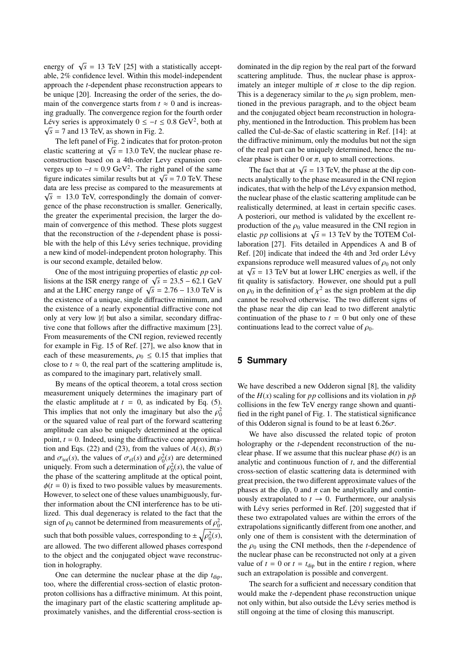energy of  $\sqrt{s}$  = 13 TeV [25] with a statistically acceptable, 2% confidence level. Within this model-independent approach the *t*-dependent phase reconstruction appears to be unique [20]. Increasing the order of the series, the domain of the convergence starts from  $t \approx 0$  and is increasing gradually. The convergence region for the fourth order Lévy series is approximately  $0 \le -t \le 0.8$  GeV<sup>2</sup>, both at  $\sqrt{s}$  – 7 and 13 TeV as shown in Fig. 2  $\sqrt{s}$  = 7 and 13 TeV, as shown in Fig. 2.

The left panel of Fig. 2 indicates that for proton-proton First part of Fig. 2 indicates that for proton-proton<br>elastic scattering at  $\sqrt{s} = 13.0$  TeV, the nuclear phase re-<br>construction based on a 4th-order Levy expansion conconstruction based on a 4th-order Levy expansion converges up to  $-t \approx 0.9 \text{ GeV}^2$ . The right panel of the same<br>figure indicates similar results but at  $\sqrt{s}$  = 7.0 TeV. These figure indicates similar results but at  $\sqrt{s}$  = 7.0 TeV. These figure indicates similar results but at  $\sqrt{s}$  = 7.0 TeV. These data are less precise as compared to the measurements at <del>∠</del>  $\sqrt{s}$  = 13.0 TeV, correspondingly the domain of convergence of the phase reconstruction is smaller. Generically, the greater the experimental precision, the larger the domain of convergence of this method. These plots suggest that the reconstruction of the *t*-dependent phase is possible with the help of this Lévy series technique, providing a new kind of model-independent proton holography. This is our second example, detailed below.

One of the most intriguing properties of elastic *pp* col-One of the Inost intriguing properties of elastic *pp* collisions at the ISR energy range of  $\sqrt{s} = 23.5 - 62.1$  GeV and at the I HC energy range of  $\sqrt{s} = 2.76 - 13.0$  TeV is and at the LHC energy range of  $\sqrt{s} = 2.76 - 13.0$  TeV is<br>the existence of a unique single diffractive minimum and the existence of a unique, single diffractive minimum, and the existence of a nearly exponential diffractive cone not only at very low |*t*| but also a similar, secondary diffractive cone that follows after the diffractive maximum [23]. From measurements of the CNI region, reviewed recently for example in Fig. 15 of Ref. [27], we also know that in each of these measurements,  $\rho_0 \leq 0.15$  that implies that close to  $t \approx 0$ , the real part of the scattering amplitude is, as compared to the imaginary part, relatively small.

By means of the optical theorem, a total cross section measurement uniquely determines the imaginary part of the elastic amplitude at  $t = 0$ , as indicated by Eq. (5). This implies that not only the imaginary but also the  $\rho_0^2$ <br>or the squared value of real part of the forward scattering or the squared value of real part of the forward scattering amplitude can also be uniquely determined at the optical point,  $t = 0$ . Indeed, using the diffractive cone approximation and Eqs. (22) and (23), from the values of  $A(s)$ ,  $B(s)$ and  $\sigma_{tot}(s)$ , the values of  $\sigma_{el}(s)$  and  $\rho_0^2(s)$  are determined<br>uniquely. From such a determination of  $\sigma_0^2(s)$ , the value of uniquely. From such a determination of  $\rho_0^2(s)$ , the value of the scattering applitude at the optical point the phase of the scattering amplitude at the optical point,  $\phi(t = 0)$  is fixed to two possible values by measurements. However, to select one of these values unambiguously, further information about the CNI interference has to be utilized. This dual degeneracy is related to the fact that the sign of  $\rho_0$  cannot be determined from measurements of  $\rho_0^2$ , such that both possible values, corresponding to  $\pm \sqrt{\rho_0^2(s)}$ , are allowed. The two different allowed phases correspond to the object and the conjugated object wave reconstruction in holography.

One can determine the nuclear phase at the dip  $t_{\text{dip}}$ , too, where the differential cross-section of elastic protonproton collisions has a diffractive minimum. At this point, the imaginary part of the elastic scattering amplitude approximately vanishes, and the differential cross-section is

dominated in the dip region by the real part of the forward scattering amplitude. Thus, the nuclear phase is approximately an integer multiple of  $\pi$  close to the dip region. This is a degeneracy similar to the  $\rho_0$  sign problem, mentioned in the previous paragraph, and to the object beam and the conjugated object beam reconstruction in holography, mentioned in the Introduction. This problem has been called the Cul-de-Sac of elastic scattering in Ref. [14]: at the diffractive minimum, only the modulus but not the sign of the real part can be uniquely determined, hence the nuclear phase is either 0 or  $\pi$ , up to small corrections.

The fact that at  $\sqrt{s} = 13$  TeV, the phase at the dip connects analytically to the phase measured in the CNI region indicates, that with the help of the Lévy expansion method, the nuclear phase of the elastic scattering amplitude can be realistically determined, at least in certain specific cases. A posteriori, our method is validated by the excellent reproduction of the  $\rho_0$  value measured in the CNI region in production of the  $p_0$  value measured in the CNT region in elastic *pp* collisions at  $\sqrt{s} = 13$  TeV by the TOTEM Collaboration [27]. Fits detailed in Appendices A and B of Ref. [20] indicate that indeed the 4th and 3rd order Lévy expansions reproduce well measured values of  $\rho_0$  not only expansions reproduce wen measured values of  $p_0$  not omy at  $\sqrt{s} = 13$  TeV but at lower LHC energies as well, if the fit quality is satisfactory. However, one should put a pull on  $\rho_0$  in the definition of  $\chi^2$  as the sign problem at the dip<br>cannot be resolved otherwise. The two different signs of cannot be resolved otherwise. The two different signs of the phase near the dip can lead to two different analytic continuation of the phase to  $t = 0$  but only one of these continuations lead to the correct value of  $\rho_0$ .

# **5 Summary**

We have described a new Odderon signal [8], the validity of the  $H(x)$  scaling for *pp* collisions and its violation in  $p\bar{p}$ collisions in the few TeV energy range shown and quantified in the right panel of Fig. 1. The statistical significance of this Odderon signal is found to be at least  $6.26\sigma$ .

We have also discussed the related topic of proton holography or the *t*-dependent reconstruction of the nuclear phase. If we assume that this nuclear phase  $\phi(t)$  is an analytic and continuous function of *t*, and the differential cross-section of elastic scattering data is determined with great precision, the two different approximate values of the phases at the dip, 0 and  $\pi$  can be analytically and continuously extrapolated to  $t \to 0$ . Furthermore, our analysis with Lévy series performed in Ref. [20] suggested that if these two extrapolated values are within the errors of the extrapolations significantly different from one another, and only one of them is consistent with the determination of the  $\rho_0$  using the CNI methods, then the *t*-dependence of the nuclear phase can be reconstructed not only at a given value of  $t = 0$  or  $t = t_{\text{dip}}$  but in the entire  $t$  region, where such an extrapolation is possible and convergent.

The search for a sufficient and necessary condition that would make the *t*-dependent phase reconstruction unique not only within, but also outside the Lévy series method is still ongoing at the time of closing this manuscript.